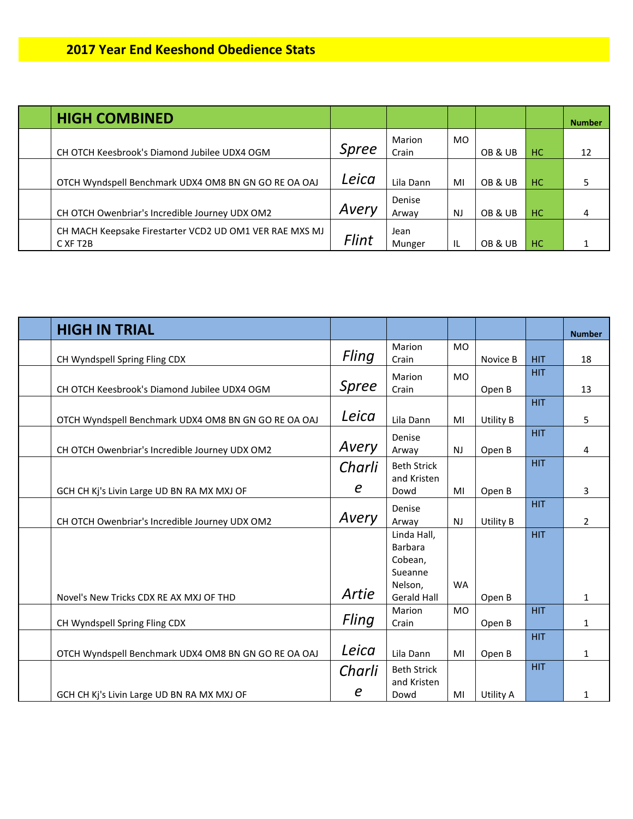| <b>HIGH COMBINED</b>                                                             |       |                 |           |         |     | <b>Number</b> |
|----------------------------------------------------------------------------------|-------|-----------------|-----------|---------|-----|---------------|
| CH OTCH Keesbrook's Diamond Jubilee UDX4 OGM                                     | Spree | Marion<br>Crain | MO.       | OB & UB | HC. | 12            |
| OTCH Wyndspell Benchmark UDX4 OM8 BN GN GO RE OA OAJ                             | Leica | Lila Dann       | MI        | OB & UB | HC. |               |
| CH OTCH Owenbriar's Incredible Journey UDX OM2                                   | Avery | Denise<br>Arway | <b>NJ</b> | OB & UB | HC. | 4             |
| CH MACH Keepsake Firestarter VCD2 UD OM1 VER RAE MXS MJ<br>C XF T <sub>2</sub> B | Flint | Jean<br>Munger  | ΙL        | OB & UB | HC. |               |

| <b>HIGH IN TRIAL</b>                                 |                  |                    |           |           |            | <b>Number</b>  |
|------------------------------------------------------|------------------|--------------------|-----------|-----------|------------|----------------|
|                                                      |                  | Marion             | <b>MO</b> |           |            |                |
| CH Wyndspell Spring Fling CDX                        | Fling            | Crain              |           | Novice B  | <b>HIT</b> | 18             |
|                                                      |                  | Marion             | <b>MO</b> |           | <b>HIT</b> |                |
| CH OTCH Keesbrook's Diamond Jubilee UDX4 OGM         | <b>Spree</b>     | Crain              |           | Open B    |            | 13             |
|                                                      |                  |                    |           |           | <b>HIT</b> |                |
| OTCH Wyndspell Benchmark UDX4 OM8 BN GN GO RE OA OAJ | Leica            | Lila Dann          | MI        | Utility B |            | 5              |
|                                                      |                  | Denise             |           |           | <b>HIT</b> |                |
| CH OTCH Owenbriar's Incredible Journey UDX OM2       | Avery            | Arway              | <b>NJ</b> | Open B    |            | 4              |
|                                                      | Charli           | <b>Beth Strick</b> |           |           | <b>HIT</b> |                |
|                                                      |                  | and Kristen        |           |           |            |                |
| GCH CH Kj's Livin Large UD BN RA MX MXJ OF           | $\boldsymbol{e}$ | Dowd               | MI        | Open B    |            | 3              |
|                                                      |                  | Denise             |           |           | <b>HIT</b> |                |
| CH OTCH Owenbriar's Incredible Journey UDX OM2       | Avery            | Arway              | <b>NJ</b> | Utility B |            | $\overline{2}$ |
|                                                      |                  | Linda Hall,        |           |           | <b>HIT</b> |                |
|                                                      |                  | Barbara            |           |           |            |                |
|                                                      |                  | Cobean,            |           |           |            |                |
|                                                      |                  | Sueanne            |           |           |            |                |
|                                                      | Artie            | Nelson,            | <b>WA</b> |           |            |                |
| Novel's New Tricks CDX RE AX MXJ OF THD              |                  | <b>Gerald Hall</b> |           | Open B    |            | 1              |
|                                                      | Fling            | Marion             | <b>MO</b> |           | <b>HIT</b> |                |
| CH Wyndspell Spring Fling CDX                        |                  | Crain              |           | Open B    |            | 1              |
|                                                      |                  |                    |           |           | <b>HIT</b> |                |
| OTCH Wyndspell Benchmark UDX4 OM8 BN GN GO RE OA OAJ | Leica            | Lila Dann          | MI        | Open B    |            | 1              |
|                                                      | Charli           | <b>Beth Strick</b> |           |           | <b>HIT</b> |                |
|                                                      |                  | and Kristen        |           |           |            |                |
| GCH CH Kj's Livin Large UD BN RA MX MXJ OF           | e                | Dowd               | MI        | Utility A |            | 1              |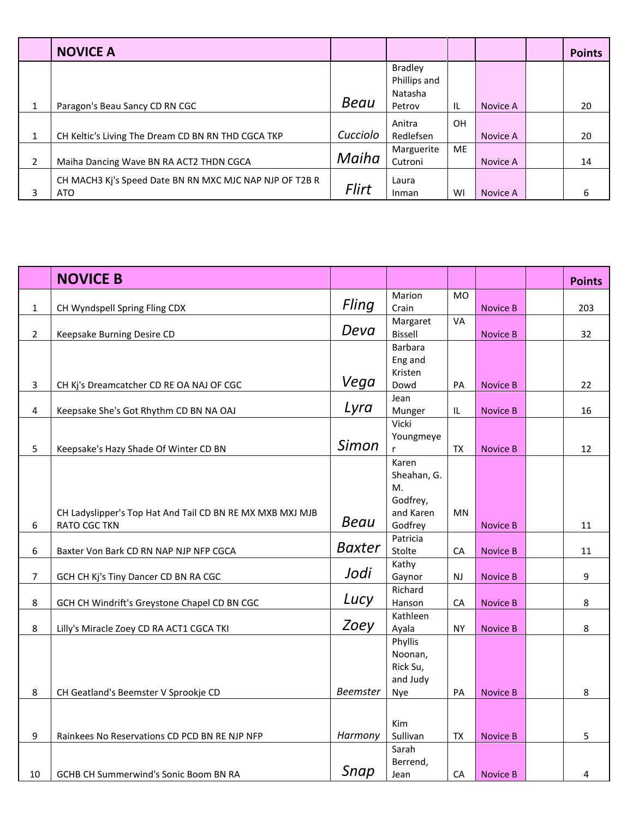|                          | <b>NOVICE A</b>                                         |              |                         |           |          | <b>Points</b> |
|--------------------------|---------------------------------------------------------|--------------|-------------------------|-----------|----------|---------------|
|                          |                                                         |              | <b>Bradley</b>          |           |          |               |
|                          |                                                         |              | Phillips and<br>Natasha |           |          |               |
| 1                        | Paragon's Beau Sancy CD RN CGC                          | Beau         | Petrov                  | ΙL        | Novice A | 20            |
|                          |                                                         |              | Anitra                  | <b>OH</b> |          |               |
| 1                        | CH Keltic's Living The Dream CD BN RN THD CGCA TKP      | Cucciolo     | Redlefsen               |           | Novice A | 20            |
|                          |                                                         |              | Marguerite              | <b>ME</b> |          |               |
| $\overline{\mathcal{L}}$ | Maiha Dancing Wave BN RA ACT2 THDN CGCA                 | Maiha        | Cutroni                 |           | Novice A | 14            |
|                          | CH MACH3 Kj's Speed Date BN RN MXC MJC NAP NJP OF T2B R |              | Laura                   |           |          |               |
| 3                        | <b>ATO</b>                                              | <b>Flirt</b> | Inman                   | WI        | Novice A | 6             |

|                | <b>NOVICE B</b>                                           |                 |                |            |                 | <b>Points</b>    |
|----------------|-----------------------------------------------------------|-----------------|----------------|------------|-----------------|------------------|
|                |                                                           |                 | Marion         | <b>MO</b>  |                 |                  |
| $\mathbf 1$    | CH Wyndspell Spring Fling CDX                             | Fling           | Crain          |            | <b>Novice B</b> | 203              |
|                |                                                           |                 | Margaret       | VA         |                 |                  |
| $\overline{2}$ | Keepsake Burning Desire CD                                | Deva            | Bissell        |            | <b>Novice B</b> | 32               |
|                |                                                           |                 | <b>Barbara</b> |            |                 |                  |
|                |                                                           |                 | Eng and        |            |                 |                  |
|                |                                                           |                 | Kristen        |            |                 |                  |
| 3              | CH Kj's Dreamcatcher CD RE OA NAJ OF CGC                  | Vega            | Dowd           | PA         | <b>Novice B</b> | 22               |
|                |                                                           |                 | Jean           |            |                 |                  |
| 4              | Keepsake She's Got Rhythm CD BN NA OAJ                    | Lyra            | Munger         | IL.        | <b>Novice B</b> | 16               |
|                |                                                           |                 | Vicki          |            |                 |                  |
|                |                                                           |                 | Youngmeye      |            |                 |                  |
| 5              | Keepsake's Hazy Shade Of Winter CD BN                     | Simon           |                | TX         | <b>Novice B</b> | 12               |
|                |                                                           |                 | Karen          |            |                 |                  |
|                |                                                           |                 | Sheahan, G.    |            |                 |                  |
|                |                                                           |                 | M.             |            |                 |                  |
|                |                                                           |                 | Godfrey,       |            |                 |                  |
|                | CH Ladyslipper's Top Hat And Tail CD BN RE MX MXB MXJ MJB | Beau            | and Karen      | <b>MN</b>  |                 |                  |
| 6              | <b>RATO CGC TKN</b>                                       |                 | Godfrey        |            | <b>Novice B</b> | 11               |
|                |                                                           |                 | Patricia       |            |                 |                  |
| 6              | Baxter Von Bark CD RN NAP NJP NFP CGCA                    | <b>Baxter</b>   | Stolte         | ${\sf CA}$ | <b>Novice B</b> | 11               |
|                |                                                           | Jodi            | Kathy          |            |                 |                  |
| $\overline{7}$ | GCH CH Kj's Tiny Dancer CD BN RA CGC                      |                 | Gaynor         | NJ         | <b>Novice B</b> | $\boldsymbol{9}$ |
|                |                                                           |                 | Richard        |            |                 |                  |
| 8              | GCH CH Windrift's Greystone Chapel CD BN CGC              | Lucy            | Hanson         | CA         | <b>Novice B</b> | 8                |
|                |                                                           |                 | Kathleen       |            |                 |                  |
| 8              | Lilly's Miracle Zoey CD RA ACT1 CGCA TKI                  | Zoey            | Ayala          | <b>NY</b>  | <b>Novice B</b> | 8                |
|                |                                                           |                 | Phyllis        |            |                 |                  |
|                |                                                           |                 | Noonan,        |            |                 |                  |
|                |                                                           |                 | Rick Su,       |            |                 |                  |
|                |                                                           |                 | and Judy       |            |                 |                  |
| 8              | CH Geatland's Beemster V Sprookje CD                      | <b>Beemster</b> | Nye            | PA         | <b>Novice B</b> | 8                |
|                |                                                           |                 |                |            |                 |                  |
|                |                                                           |                 | Kim            |            |                 |                  |
| 9              | Rainkees No Reservations CD PCD BN RE NJP NFP             | Harmony         | Sullivan       | TX         | <b>Novice B</b> | 5                |
|                |                                                           |                 | Sarah          |            |                 |                  |
|                |                                                           |                 | Berrend,       |            |                 |                  |
| 10             | GCHB CH Summerwind's Sonic Boom BN RA                     | Snap            | Jean           | CA         | <b>Novice B</b> | 4                |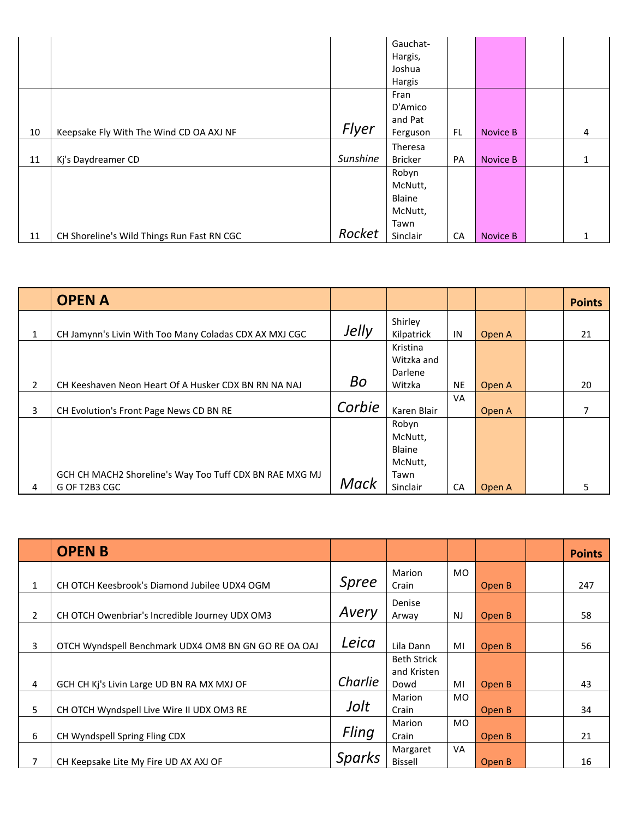|    |                                            |          | Gauchat-       |     |          |              |
|----|--------------------------------------------|----------|----------------|-----|----------|--------------|
|    |                                            |          | Hargis,        |     |          |              |
|    |                                            |          | Joshua         |     |          |              |
|    |                                            |          | Hargis         |     |          |              |
|    |                                            |          | Fran           |     |          |              |
|    |                                            |          | D'Amico        |     |          |              |
|    |                                            |          | and Pat        |     |          |              |
| 10 | Keepsake Fly With The Wind CD OA AXJ NF    | Flyer    | Ferguson       | FL. | Novice B | 4            |
|    |                                            |          | Theresa        |     |          |              |
| 11 | Kj's Daydreamer CD                         | Sunshine | <b>Bricker</b> | PA  | Novice B | $\mathbf{1}$ |
|    |                                            |          | Robyn          |     |          |              |
|    |                                            |          | McNutt,        |     |          |              |
|    |                                            |          | Blaine         |     |          |              |
|    |                                            |          | McNutt,        |     |          |              |
|    |                                            |          | Tawn           |     |          |              |
| 11 | CH Shoreline's Wild Things Run Fast RN CGC | Rocket   | Sinclair       | CA  | Novice B |              |

|   | <b>OPEN A</b>                                           |             |             |           |        | <b>Points</b> |
|---|---------------------------------------------------------|-------------|-------------|-----------|--------|---------------|
|   |                                                         | Jelly       | Shirley     |           |        |               |
|   | CH Jamynn's Livin With Too Many Coladas CDX AX MXJ CGC  |             | Kilpatrick  | IN        | Open A | 21            |
|   |                                                         |             | Kristina    |           |        |               |
|   |                                                         |             | Witzka and  |           |        |               |
|   |                                                         |             | Darlene     |           |        |               |
| 2 | CH Keeshaven Neon Heart Of A Husker CDX BN RN NA NAJ    | <b>Bo</b>   | Witzka      | <b>NE</b> | Open A | 20            |
|   |                                                         |             |             | VA        |        |               |
| 3 | CH Evolution's Front Page News CD BN RE                 | Corbie      | Karen Blair |           | Open A | 7             |
|   |                                                         |             | Robyn       |           |        |               |
|   |                                                         |             | McNutt,     |           |        |               |
|   |                                                         |             | Blaine      |           |        |               |
|   |                                                         |             | McNutt,     |           |        |               |
|   | GCH CH MACH2 Shoreline's Way Too Tuff CDX BN RAE MXG MJ |             | Tawn        |           |        |               |
| 4 | G OF T2B3 CGC                                           | <b>Mack</b> | Sinclair    | CA        | Open A | 5             |

|                | <b>OPENB</b>                                         |               |                                   |           |        | <b>Points</b> |
|----------------|------------------------------------------------------|---------------|-----------------------------------|-----------|--------|---------------|
| 1              | CH OTCH Keesbrook's Diamond Jubilee UDX4 OGM         | Spree         | Marion<br>Crain                   | <b>MO</b> | Open B | 247           |
| $\overline{2}$ | CH OTCH Owenbriar's Incredible Journey UDX OM3       | Avery         | Denise<br>Arway                   | <b>NJ</b> | Open B | 58            |
| 3              | OTCH Wyndspell Benchmark UDX4 OM8 BN GN GO RE OA OAJ | Leica         | Lila Dann                         | MI        | Open B | 56            |
|                |                                                      |               | <b>Beth Strick</b><br>and Kristen |           |        |               |
| 4              | GCH CH Ki's Livin Large UD BN RA MX MXJ OF           | Charlie       | Dowd                              | MI        | Open B | 43            |
|                |                                                      |               | Marion                            | <b>MO</b> |        |               |
| 5              | CH OTCH Wyndspell Live Wire II UDX OM3 RE            | Jolt          | Crain                             |           | Open B | 34            |
|                |                                                      |               | Marion                            | <b>MO</b> |        |               |
| 6              | CH Wyndspell Spring Fling CDX                        | Fling         | Crain                             |           | Open B | 21            |
| 7              | CH Keepsake Lite My Fire UD AX AXJ OF                | <b>Sparks</b> | Margaret<br><b>Bissell</b>        | VA        | Open B | 16            |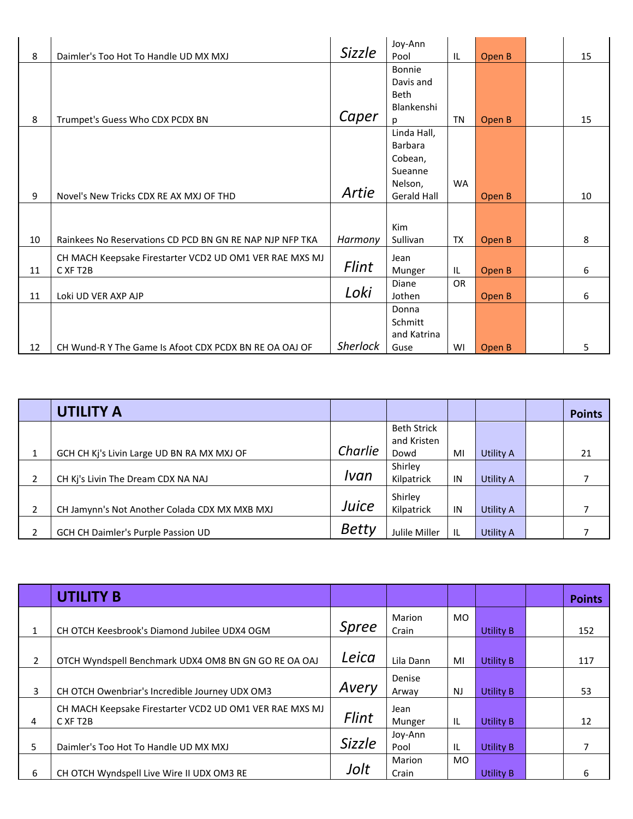|    |                                                          |                 | Joy-Ann            |           |        |    |
|----|----------------------------------------------------------|-----------------|--------------------|-----------|--------|----|
| 8  | Daimler's Too Hot To Handle UD MX MXJ                    | <b>Sizzle</b>   | Pool               | IL        | Open B | 15 |
|    |                                                          |                 | Bonnie             |           |        |    |
|    |                                                          |                 | Davis and          |           |        |    |
|    |                                                          |                 | <b>Beth</b>        |           |        |    |
|    |                                                          |                 | Blankenshi         |           |        |    |
| 8  | Trumpet's Guess Who CDX PCDX BN                          | Caper           | Ŋ                  | TN        | Open B | 15 |
|    |                                                          |                 | Linda Hall,        |           |        |    |
|    |                                                          |                 | <b>Barbara</b>     |           |        |    |
|    |                                                          |                 | Cobean,            |           |        |    |
|    |                                                          |                 | Sueanne            |           |        |    |
|    |                                                          |                 | Nelson,            | <b>WA</b> |        |    |
| 9  | Novel's New Tricks CDX RE AX MXJ OF THD                  | Artie           | <b>Gerald Hall</b> |           | Open B | 10 |
|    |                                                          |                 |                    |           |        |    |
|    |                                                          |                 | Kim                |           |        |    |
| 10 | Rainkees No Reservations CD PCD BN GN RE NAP NJP NFP TKA | Harmony         | Sullivan           | TX        | Open B | 8  |
|    |                                                          |                 |                    |           |        |    |
|    | CH MACH Keepsake Firestarter VCD2 UD OM1 VER RAE MXS MJ  | Flint           | Jean               |           |        |    |
| 11 | C XF T <sub>2</sub> B                                    |                 | Munger             | IL        | Open B | 6  |
|    |                                                          | Loki            | Diane              | <b>OR</b> |        |    |
| 11 | Loki UD VER AXP AJP                                      |                 | Jothen             |           | Open B | 6  |
|    |                                                          |                 | Donna              |           |        |    |
|    |                                                          |                 | Schmitt            |           |        |    |
|    |                                                          |                 | and Katrina        |           |        |    |
| 12 | CH Wund-R Y The Game Is Afoot CDX PCDX BN RE OA OAJ OF   | <b>Sherlock</b> | Guse               | WI        | Open B | 5  |

|   | <b>UTILITY A</b>                              |              |                    |    |                  | <b>Points</b> |
|---|-----------------------------------------------|--------------|--------------------|----|------------------|---------------|
|   |                                               |              | <b>Beth Strick</b> |    |                  |               |
|   |                                               |              | and Kristen        |    |                  |               |
|   | GCH CH Kj's Livin Large UD BN RA MX MXJ OF    | Charlie      | Dowd               | MI | Utility A        | 21            |
|   |                                               |              | Shirley            |    |                  |               |
|   | CH Kj's Livin The Dream CDX NA NAJ            | Ivan         | Kilpatrick         | IN | Utility A        |               |
|   |                                               |              | Shirley            |    |                  |               |
| ำ | CH Jamynn's Not Another Colada CDX MX MXB MXJ | Juice        | Kilpatrick         | IN | Utility A        |               |
|   | GCH CH Daimler's Purple Passion UD            | <b>Betty</b> | Julile Miller      | IL | <b>Utility A</b> |               |

|    | <b>UTILITY B</b>                                                    |               |                 |           |                  | <b>Points</b> |
|----|---------------------------------------------------------------------|---------------|-----------------|-----------|------------------|---------------|
|    | CH OTCH Keesbrook's Diamond Jubilee UDX4 OGM                        | <b>Spree</b>  | Marion<br>Crain | <b>MO</b> | <b>Utility B</b> | 152           |
| 2  | OTCH Wyndspell Benchmark UDX4 OM8 BN GN GO RE OA OAJ                | Leica         | Lila Dann       | MI        | <b>Utility B</b> | 117           |
| 3  | CH OTCH Owenbriar's Incredible Journey UDX OM3                      | Avery         | Denise<br>Arway | <b>NJ</b> | <b>Utility B</b> | 53            |
| 4  | CH MACH Keepsake Firestarter VCD2 UD OM1 VER RAE MXS MJ<br>C XF T2B | Flint         | Jean<br>Munger  | IL        | <b>Utility B</b> | 12            |
| 5. | Daimler's Too Hot To Handle UD MX MXJ                               | <b>Sizzle</b> | Joy-Ann<br>Pool | IL        | <b>Utility B</b> |               |
| 6  | CH OTCH Wyndspell Live Wire II UDX OM3 RE                           | Jolt          | Marion<br>Crain | <b>MO</b> | <b>Utility B</b> | 6             |